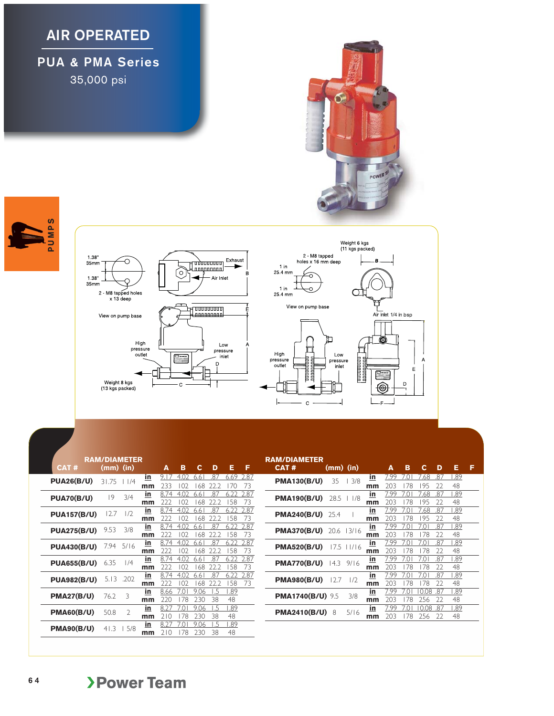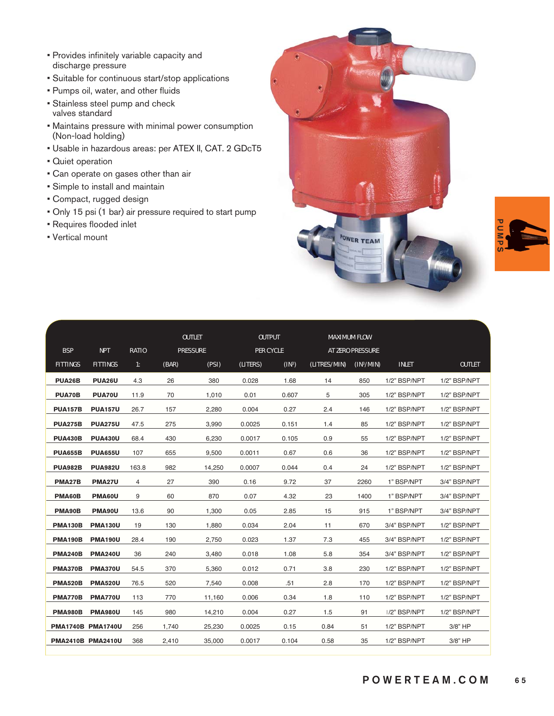- Provides infinitely variable capacity and discharge pressure
- Suitable for continuous start/stop applications
- Pumps oil, water, and other fluids
- Stainless steel pump and check valves standard
- Maintains pressure with minimal power consumption (Non-load holding)
- Usable in hazardous areas: per ATEX II, CAT. 2 GDcT5
- Quiet operation
- Can operate on gases other than air
- Simple to install and maintain
- Compact, rugged design
- Only 15 psi (1 bar) air pressure required to start pump
- Requires flooded inlet
- Vertical mount

| • Requires flooded inlet<br>• Vertical mount<br>POWER TEAM |                          |              |               |                 |                  |                    |                     |                         |              |               |
|------------------------------------------------------------|--------------------------|--------------|---------------|-----------------|------------------|--------------------|---------------------|-------------------------|--------------|---------------|
|                                                            |                          |              | <b>OUTLET</b> |                 | <b>OUTPUT</b>    |                    | <b>MAXIMUM FLOW</b> |                         |              |               |
| <b>BSP</b>                                                 | <b>NPT</b>               | <b>RATIO</b> |               | <b>PRESSURE</b> | <b>PER CYCLE</b> |                    |                     | <b>AT ZERO PRESSURE</b> |              |               |
| <b>FITTINGS</b>                                            | <b>FITTINGS</b>          | 1:           | (BAR)         | (PSI)           | (LITERS)         | (1N <sup>3</sup> ) | (LITRES/MIN)        | (IN <sup>3</sup> /MIN)  | <b>INLET</b> | <b>OUTLET</b> |
| PUA <sub>26</sub> B                                        | <b>PUA26U</b>            | 4.3          | 26            | 380             | 0.028            | 1.68               | 14                  | 850                     | 1/2" BSP/NPT | 1/2" BSP/NPT  |
| PUA70B                                                     | PUA70U                   | 11.9         | 70            | 1,010           | 0.01             | 0.607              | 5                   | 305                     | 1/2" BSP/NPT | 1/2" BSP/NPT  |
| <b>PUA157B</b>                                             | <b>PUA157U</b>           | 26.7         | 157           | 2,280           | 0.004            | 0.27               | 2.4                 | 146                     | 1/2" BSP/NPT | 1/2" BSP/NPT  |
| <b>PUA275B</b>                                             | <b>PUA275U</b>           | 47.5         | 275           | 3,990           | 0.0025           | 0.151              | 1.4                 | 85                      | 1/2" BSP/NPT | 1/2" BSP/NPT  |
| <b>PUA430B</b>                                             | <b>PUA430U</b>           | 68.4         | 430           | 6,230           | 0.0017           | 0.105              | 0.9                 | 55                      | 1/2" BSP/NPT | 1/2" BSP/NPT  |
| <b>PUA655B</b>                                             | <b>PUA655U</b>           | 107          | 655           | 9,500           | 0.0011           | 0.67               | 0.6                 | 36                      | 1/2" BSP/NPT | 1/2" BSP/NPT  |
| <b>PUA982B</b>                                             | <b>PUA982U</b>           | 163.8        | 982           | 14,250          | 0.0007           | 0.044              | 0.4                 | 24                      | 1/2" BSP/NPT | 1/2" BSP/NPT  |
| <b>PMA27B</b>                                              | <b>PMA27U</b>            | 4            | 27            | 390             | 0.16             | 9.72               | 37                  | 2260                    | 1" BSP/NPT   | 3/4" BSP/NPT  |
| <b>PMA60B</b>                                              | <b>PMA60U</b>            | 9            | 60            | 870             | 0.07             | 4.32               | 23                  | 1400                    | 1" BSP/NPT   | 3/4" BSP/NPT  |
| PMA90B                                                     | <b>PMA90U</b>            | 13.6         | 90            | 1,300           | 0.05             | 2.85               | 15                  | 915                     | 1" BSP/NPT   | 3/4" BSP/NPT  |
| <b>PMA130B</b>                                             | <b>PMA130U</b>           | 19           | 130           | 1,880           | 0.034            | 2.04               | 11                  | 670                     | 3/4" BSP/NPT | 1/2" BSP/NPT  |
| <b>PMA190B</b>                                             | <b>PMA190U</b>           | 28.4         | 190           | 2,750           | 0.023            | 1.37               | 7.3                 | 455                     | 3/4" BSP/NPT | 1/2" BSP/NPT  |
| <b>PMA240B</b>                                             | <b>PMA240U</b>           | 36           | 240           | 3,480           | 0.018            | 1.08               | 5.8                 | 354                     | 3/4" BSP/NPT | 1/2" BSP/NPT  |
| <b>PMA370B</b>                                             | <b>PMA370U</b>           | 54.5         | 370           | 5,360           | 0.012            | 0.71               | 3.8                 | 230                     | 1/2" BSP/NPT | 1/2" BSP/NPT  |
| <b>PMA520B</b>                                             | <b>PMA520U</b>           | 76.5         | 520           | 7,540           | 0.008            | .51                | 2.8                 | 170                     | 1/2" BSP/NPT | 1/2" BSP/NPT  |
| <b>PMA770B</b>                                             | <b>PMA770U</b>           | 113          | 770           | 11,160          | 0.006            | 0.34               | 1.8                 | 110                     | 1/2" BSP/NPT | 1/2" BSP/NPT  |
| <b>PMA980B</b>                                             | <b>PMA980U</b>           | 145          | 980           | 14,210          | 0.004            | 0.27               | 1.5                 | 91                      | 1/2" BSP/NPT | 1/2" BSP/NPT  |
|                                                            | <b>PMA1740B PMA1740U</b> | 256          | 1,740         | 25,230          | 0.0025           | 0.15               | 0.84                | 51                      | 1/2" BSP/NPT | 3/8" HP       |
| <b>PMA2410B PMA2410U</b>                                   |                          | 368          | 2,410         | 35,000          | 0.0017           | 0.104              | 0.58                | 35                      | 1/2" BSP/NPT | 3/8" HP       |
|                                                            |                          |              |               |                 |                  |                    |                     |                         |              |               |

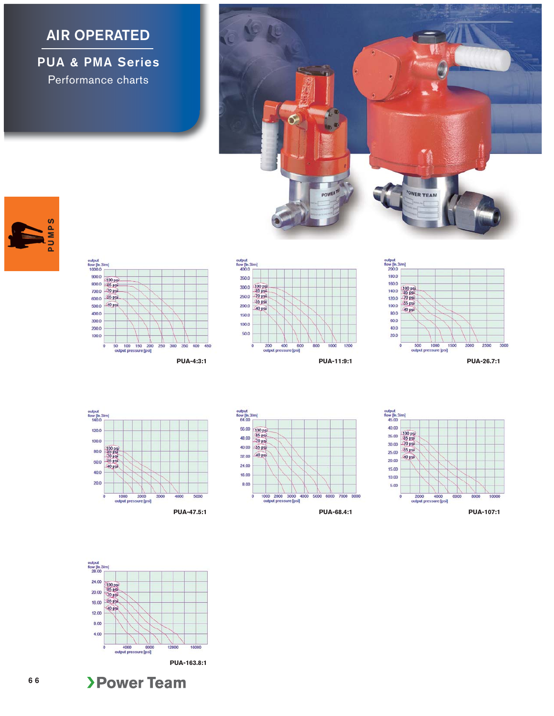## **AIR OPERATED**

**PUA & PMA Series** Performance charts







![](_page_2_Figure_5.jpeg)

![](_page_2_Figure_6.jpeg)

![](_page_2_Figure_7.jpeg)

![](_page_2_Figure_8.jpeg)

![](_page_2_Figure_9.jpeg)

![](_page_2_Figure_10.jpeg)

![](_page_2_Figure_11.jpeg)